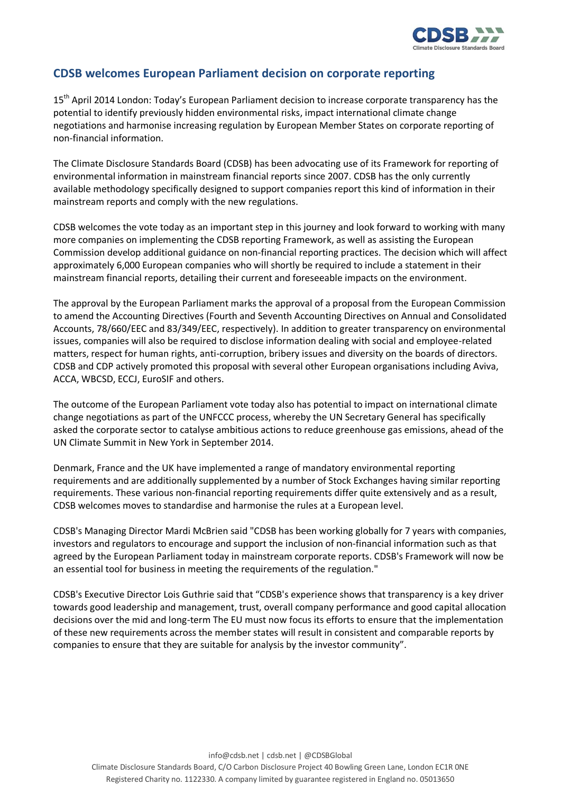

## **CDSB welcomes European Parliament decision on corporate reporting**

15<sup>th</sup> April 2014 London: Today's European Parliament decision to increase corporate transparency has the potential to identify previously hidden environmental risks, impact international climate change negotiations and harmonise increasing regulation by European Member States on corporate reporting of non-financial information.

The Climate Disclosure Standards Board (CDSB) has been advocating use of its Framework for reporting of environmental information in mainstream financial reports since 2007. CDSB has the only currently available methodology specifically designed to support companies report this kind of information in their mainstream reports and comply with the new regulations.

CDSB welcomes the vote today as an important step in this journey and look forward to working with many more companies on implementing the CDSB reporting Framework, as well as assisting the European Commission develop additional guidance on non-financial reporting practices. The decision which will affect approximately 6,000 European companies who will shortly be required to include a statement in their mainstream financial reports, detailing their current and foreseeable impacts on the environment.

The approval by the European Parliament marks the approval of a proposal from the European Commission to amend the Accounting Directives (Fourth and Seventh Accounting Directives on Annual and Consolidated Accounts, 78/660/EEC and 83/349/EEC, respectively). In addition to greater transparency on environmental issues, companies will also be required to disclose information dealing with social and employee-related matters, respect for human rights, anti-corruption, bribery issues and diversity on the boards of directors. CDSB and CDP actively promoted this proposal with several other European organisations including Aviva, ACCA, WBCSD, ECCJ, EuroSIF and others.

The outcome of the European Parliament vote today also has potential to impact on international climate change negotiations as part of the UNFCCC process, whereby the UN Secretary General has specifically asked the corporate sector to catalyse ambitious actions to reduce greenhouse gas emissions, ahead of the UN Climate Summit in New York in September 2014.

Denmark, France and the UK have implemented a range of mandatory environmental reporting requirements and are additionally supplemented by a number of Stock Exchanges having similar reporting requirements. These various non-financial reporting requirements differ quite extensively and as a result, CDSB welcomes moves to standardise and harmonise the rules at a European level.

CDSB's Managing Director Mardi McBrien said "CDSB has been working globally for 7 years with companies, investors and regulators to encourage and support the inclusion of non-financial information such as that agreed by the European Parliament today in mainstream corporate reports. CDSB's Framework will now be an essential tool for business in meeting the requirements of the regulation."

CDSB's Executive Director Lois Guthrie said that "CDSB's experience shows that transparency is a key driver towards good leadership and management, trust, overall company performance and good capital allocation decisions over the mid and long-term The EU must now focus its efforts to ensure that the implementation of these new requirements across the member states will result in consistent and comparable reports by companies to ensure that they are suitable for analysis by the investor community".

info@cdsb.net | cdsb.net | @CDSBGlobal Climate Disclosure Standards Board, C/O Carbon Disclosure Project 40 Bowling Green Lane, London EC1R 0NE Registered Charity no. 1122330. A company limited by guarantee registered in England no. 05013650